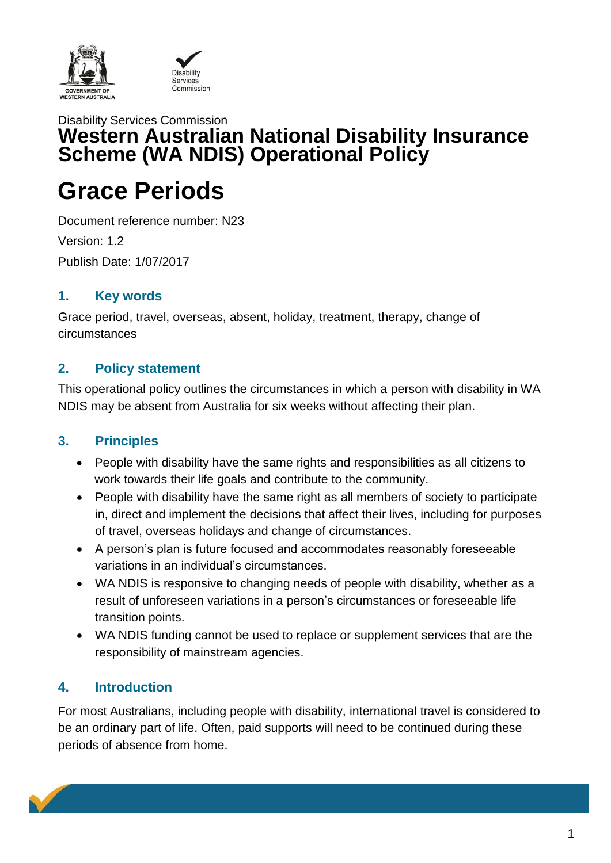

## Disability Services Commission **Western Australian National Disability Insurance Scheme (WA NDIS) Operational Policy**

# **Grace Periods**

Document reference number: N23 Version: 1.2 Publish Date: 1/07/2017

#### **1. Key words**

Grace period, travel, overseas, absent, holiday, treatment, therapy, change of circumstances

## **2. Policy statement**

This operational policy outlines the circumstances in which a person with disability in WA NDIS may be absent from Australia for six weeks without affecting their plan.

## **3. Principles**

- People with disability have the same rights and responsibilities as all citizens to work towards their life goals and contribute to the community.
- People with disability have the same right as all members of society to participate in, direct and implement the decisions that affect their lives, including for purposes of travel, overseas holidays and change of circumstances.
- A person's plan is future focused and accommodates reasonably foreseeable variations in an individual's circumstances.
- WA NDIS is responsive to changing needs of people with disability, whether as a result of unforeseen variations in a person's circumstances or foreseeable life transition points.
- WA NDIS funding cannot be used to replace or supplement services that are the responsibility of mainstream agencies.

## **4. Introduction**

For most Australians, including people with disability, international travel is considered to be an ordinary part of life. Often, paid supports will need to be continued during these periods of absence from home.

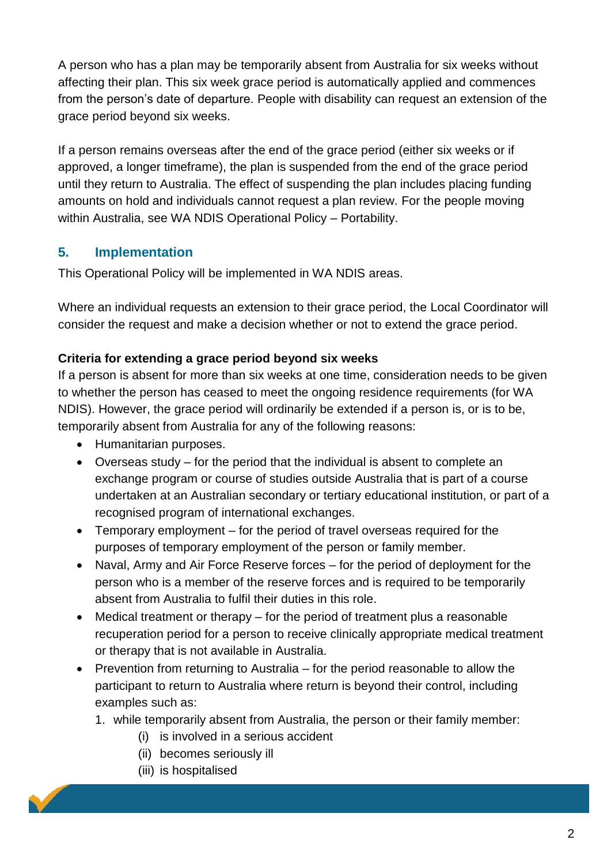A person who has a plan may be temporarily absent from Australia for six weeks without affecting their plan. This six week grace period is automatically applied and commences from the person's date of departure. People with disability can request an extension of the grace period beyond six weeks.

If a person remains overseas after the end of the grace period (either six weeks or if approved, a longer timeframe), the plan is suspended from the end of the grace period until they return to Australia. The effect of suspending the plan includes placing funding amounts on hold and individuals cannot request a plan review. For the people moving within Australia, see WA NDIS Operational Policy – Portability.

## **5. Implementation**

This Operational Policy will be implemented in WA NDIS areas.

Where an individual requests an extension to their grace period, the Local Coordinator will consider the request and make a decision whether or not to extend the grace period.

#### **Criteria for extending a grace period beyond six weeks**

If a person is absent for more than six weeks at one time, consideration needs to be given to whether the person has ceased to meet the ongoing residence requirements (for WA NDIS). However, the grace period will ordinarily be extended if a person is, or is to be, temporarily absent from Australia for any of the following reasons:

- Humanitarian purposes.
- Overseas study for the period that the individual is absent to complete an exchange program or course of studies outside Australia that is part of a course undertaken at an Australian secondary or tertiary educational institution, or part of a recognised program of international exchanges.
- Temporary employment for the period of travel overseas required for the purposes of temporary employment of the person or family member.
- Naval, Army and Air Force Reserve forces for the period of deployment for the person who is a member of the reserve forces and is required to be temporarily absent from Australia to fulfil their duties in this role.
- Medical treatment or therapy for the period of treatment plus a reasonable recuperation period for a person to receive clinically appropriate medical treatment or therapy that is not available in Australia.
- Prevention from returning to Australia for the period reasonable to allow the participant to return to Australia where return is beyond their control, including examples such as:
	- 1. while temporarily absent from Australia, the person or their family member:
		- (i) is involved in a serious accident
		- (ii) becomes seriously ill
		- (iii) is hospitalised

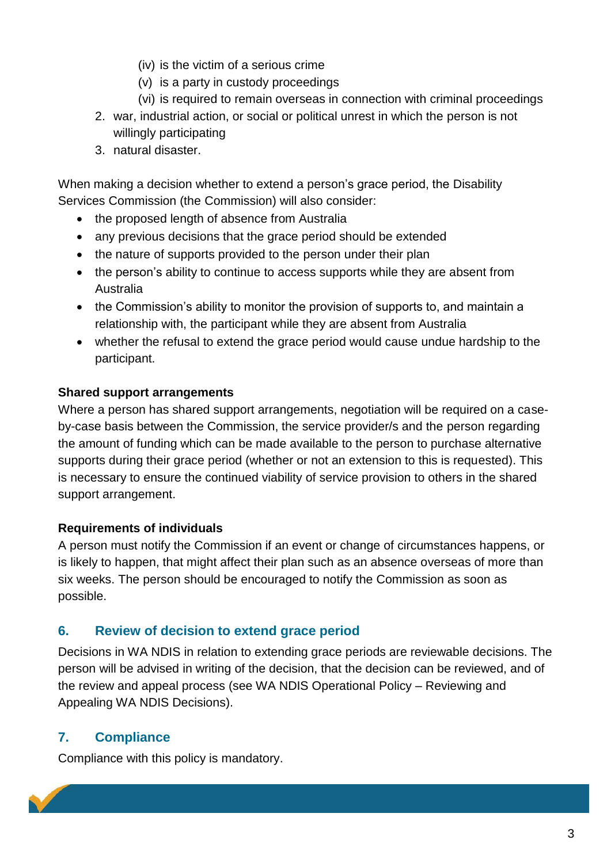- (iv) is the victim of a serious crime
- (v) is a party in custody proceedings
- (vi) is required to remain overseas in connection with criminal proceedings
- 2. war, industrial action, or social or political unrest in which the person is not willingly participating
- 3. natural disaster.

When making a decision whether to extend a person's grace period, the Disability Services Commission (the Commission) will also consider:

- the proposed length of absence from Australia
- any previous decisions that the grace period should be extended
- the nature of supports provided to the person under their plan
- the person's ability to continue to access supports while they are absent from Australia
- the Commission's ability to monitor the provision of supports to, and maintain a relationship with, the participant while they are absent from Australia
- whether the refusal to extend the grace period would cause undue hardship to the participant.

#### **Shared support arrangements**

Where a person has shared support arrangements, negotiation will be required on a caseby-case basis between the Commission, the service provider/s and the person regarding the amount of funding which can be made available to the person to purchase alternative supports during their grace period (whether or not an extension to this is requested). This is necessary to ensure the continued viability of service provision to others in the shared support arrangement.

#### **Requirements of individuals**

A person must notify the Commission if an event or change of circumstances happens, or is likely to happen, that might affect their plan such as an absence overseas of more than six weeks. The person should be encouraged to notify the Commission as soon as possible.

#### **6. Review of decision to extend grace period**

Decisions in WA NDIS in relation to extending grace periods are reviewable decisions. The person will be advised in writing of the decision, that the decision can be reviewed, and of the review and appeal process (see WA NDIS Operational Policy – Reviewing and Appealing WA NDIS Decisions).

## **7. Compliance**

Compliance with this policy is mandatory.